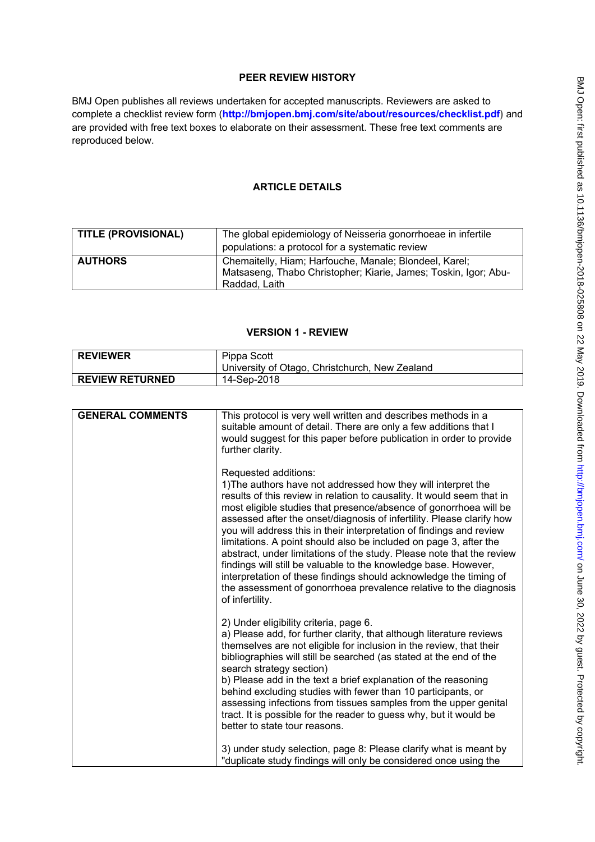# **PEER REVIEW HISTORY**

BMJ Open publishes all reviews undertaken for accepted manuscripts. Reviewers are asked to complete a checklist review form (**[http://bmjopen.bmj.com/site/about/resources/checklist.pdf\)](http://bmjopen.bmj.com/site/about/resources/checklist.pdf)** and are provided with free text boxes to elaborate on their assessment. These free text comments are reproduced below.

# **ARTICLE DETAILS**

| <b>TITLE (PROVISIONAL)</b> | The global epidemiology of Neisseria gonorrhoeae in infertile<br>populations: a protocol for a systematic review                           |
|----------------------------|--------------------------------------------------------------------------------------------------------------------------------------------|
| <b>AUTHORS</b>             | Chemaitelly, Hiam; Harfouche, Manale; Blondeel, Karel;<br>Matsaseng, Thabo Christopher; Kiarie, James; Toskin, Igor; Abu-<br>Raddad, Laith |

# **VERSION 1 - REVIEW**

| <b>REVIEWER</b>        | Pippa Scott<br>University of Otago, Christchurch, New Zealand |
|------------------------|---------------------------------------------------------------|
| <b>REVIEW RETURNED</b> | 14-Sep-2018                                                   |

| <b>GENERAL COMMENTS</b> | This protocol is very well written and describes methods in a<br>suitable amount of detail. There are only a few additions that I<br>would suggest for this paper before publication in order to provide<br>further clarity.                                                                                                                                                                                                                                                                                                                                                                                                                                                                                                                                        |
|-------------------------|---------------------------------------------------------------------------------------------------------------------------------------------------------------------------------------------------------------------------------------------------------------------------------------------------------------------------------------------------------------------------------------------------------------------------------------------------------------------------------------------------------------------------------------------------------------------------------------------------------------------------------------------------------------------------------------------------------------------------------------------------------------------|
|                         | Requested additions:<br>1) The authors have not addressed how they will interpret the<br>results of this review in relation to causality. It would seem that in<br>most eligible studies that presence/absence of gonorrhoea will be<br>assessed after the onset/diagnosis of infertility. Please clarify how<br>you will address this in their interpretation of findings and review<br>limitations. A point should also be included on page 3, after the<br>abstract, under limitations of the study. Please note that the review<br>findings will still be valuable to the knowledge base. However,<br>interpretation of these findings should acknowledge the timing of<br>the assessment of gonorrhoea prevalence relative to the diagnosis<br>of infertility. |
|                         | 2) Under eligibility criteria, page 6.<br>a) Please add, for further clarity, that although literature reviews<br>themselves are not eligible for inclusion in the review, that their<br>bibliographies will still be searched (as stated at the end of the<br>search strategy section)<br>b) Please add in the text a brief explanation of the reasoning<br>behind excluding studies with fewer than 10 participants, or<br>assessing infections from tissues samples from the upper genital<br>tract. It is possible for the reader to guess why, but it would be<br>better to state tour reasons.                                                                                                                                                                |
|                         | 3) under study selection, page 8: Please clarify what is meant by<br>"duplicate study findings will only be considered once using the                                                                                                                                                                                                                                                                                                                                                                                                                                                                                                                                                                                                                               |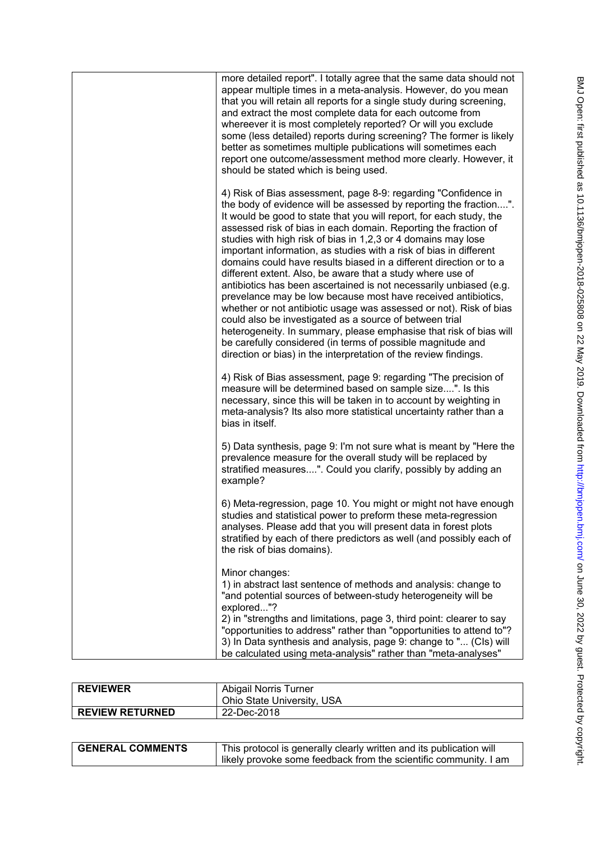| more detailed report". I totally agree that the same data should not<br>appear multiple times in a meta-analysis. However, do you mean<br>that you will retain all reports for a single study during screening,<br>and extract the most complete data for each outcome from<br>whereever it is most completely reported? Or will you exclude<br>some (less detailed) reports during screening? The former is likely<br>better as sometimes multiple publications will sometimes each<br>report one outcome/assessment method more clearly. However, it<br>should be stated which is being used.                                                                                                                                                                                                                                                                                                                                                                                                                                           |
|-------------------------------------------------------------------------------------------------------------------------------------------------------------------------------------------------------------------------------------------------------------------------------------------------------------------------------------------------------------------------------------------------------------------------------------------------------------------------------------------------------------------------------------------------------------------------------------------------------------------------------------------------------------------------------------------------------------------------------------------------------------------------------------------------------------------------------------------------------------------------------------------------------------------------------------------------------------------------------------------------------------------------------------------|
| 4) Risk of Bias assessment, page 8-9: regarding "Confidence in<br>the body of evidence will be assessed by reporting the fraction".<br>It would be good to state that you will report, for each study, the<br>assessed risk of bias in each domain. Reporting the fraction of<br>studies with high risk of bias in 1,2,3 or 4 domains may lose<br>important information, as studies with a risk of bias in different<br>domains could have results biased in a different direction or to a<br>different extent. Also, be aware that a study where use of<br>antibiotics has been ascertained is not necessarily unbiased (e.g.<br>prevelance may be low because most have received antibiotics,<br>whether or not antibiotic usage was assessed or not). Risk of bias<br>could also be investigated as a source of between trial<br>heterogeneity. In summary, please emphasise that risk of bias will<br>be carefully considered (in terms of possible magnitude and<br>direction or bias) in the interpretation of the review findings. |
| 4) Risk of Bias assessment, page 9: regarding "The precision of<br>measure will be determined based on sample size". Is this<br>necessary, since this will be taken in to account by weighting in<br>meta-analysis? Its also more statistical uncertainty rather than a<br>bias in itself.                                                                                                                                                                                                                                                                                                                                                                                                                                                                                                                                                                                                                                                                                                                                                |
| 5) Data synthesis, page 9: I'm not sure what is meant by "Here the<br>prevalence measure for the overall study will be replaced by<br>stratified measures". Could you clarify, possibly by adding an<br>example?                                                                                                                                                                                                                                                                                                                                                                                                                                                                                                                                                                                                                                                                                                                                                                                                                          |
| 6) Meta-regression, page 10. You might or might not have enough<br>studies and statistical power to preform these meta-regression<br>analyses. Please add that you will present data in forest plots<br>stratified by each of there predictors as well (and possibly each of<br>the risk of bias domains).                                                                                                                                                                                                                                                                                                                                                                                                                                                                                                                                                                                                                                                                                                                                |
| Minor changes:<br>1) in abstract last sentence of methods and analysis: change to<br>"and potential sources of between-study heterogeneity will be<br>explored"?<br>2) in "strengths and limitations, page 3, third point: clearer to say<br>"opportunities to address" rather than "opportunities to attend to"?<br>3) In Data synthesis and analysis, page 9: change to " (CIs) will<br>be calculated using meta-analysis" rather than "meta-analyses"                                                                                                                                                                                                                                                                                                                                                                                                                                                                                                                                                                                  |

| <b>REVIEWER</b>        | Abigail Norris Turner<br>Ohio State University, USA |
|------------------------|-----------------------------------------------------|
| <b>REVIEW RETURNED</b> | 22-Dec-2018                                         |

| <b>GENERAL COMMENTS</b> | This protocol is generally clearly written and its publication will |
|-------------------------|---------------------------------------------------------------------|
|                         | I likely provoke some feedback from the scientific community. I am  |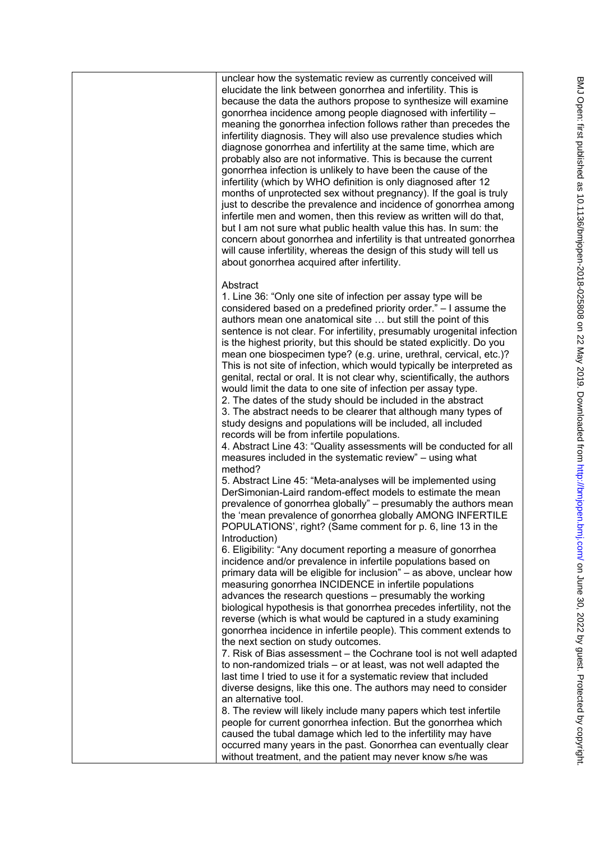unclear how the systematic review as currently conceived will elucidate the link between gonorrhea and infertility. This is because the data the authors propose to synthesize will examine gonorrhea incidence among people diagnosed with infertility – meaning the gonorrhea infection follows rather than precedes the infertility diagnosis. They will also use prevalence studies which diagnose gonorrhea and infertility at the same time, which are probably also are not informative. This is because the current gonorrhea infection is unlikely to have been the cause of the infertility (which by WHO definition is only diagnosed after 12 months of unprotected sex without pregnancy). If the goal is truly just to describe the prevalence and incidence of gonorrhea among infertile men and women, then this review as written will do that, but I am not sure what public health value this has. In sum: the concern about gonorrhea and infertility is that untreated gonorrhea will cause infertility, whereas the design of this study will tell us about gonorrhea acquired after infertility.

# Abstract

1. Line 36: "Only one site of infection per assay type will be considered based on a predefined priority order." – I assume the authors mean one anatomical site … but still the point of this sentence is not clear. For infertility, presumably urogenital infection is the highest priority, but this should be stated explicitly. Do you mean one biospecimen type? (e.g. urine, urethral, cervical, etc.)? This is not site of infection, which would typically be interpreted as genital, rectal or oral. It is not clear why, scientifically, the authors would limit the data to one site of infection per assay type.

2. The dates of the study should be included in the abstract 3. The abstract needs to be clearer that although many types of study designs and populations will be included, all included records will be from infertile populations.

4. Abstract Line 43: "Quality assessments will be conducted for all measures included in the systematic review" – using what method?

5. Abstract Line 45: "Meta-analyses will be implemented using DerSimonian-Laird random-effect models to estimate the mean prevalence of gonorrhea globally" – presumably the authors mean the 'mean prevalence of gonorrhea globally AMONG INFERTILE POPULATIONS', right? (Same comment for p. 6, line 13 in the Introduction)

6. Eligibility: "Any document reporting a measure of gonorrhea incidence and/or prevalence in infertile populations based on primary data will be eligible for inclusion" – as above, unclear how measuring gonorrhea INCIDENCE in infertile populations advances the research questions – presumably the working biological hypothesis is that gonorrhea precedes infertility, not the reverse (which is what would be captured in a study examining gonorrhea incidence in infertile people). This comment extends to the next section on study outcomes.

7. Risk of Bias assessment – the Cochrane tool is not well adapted to non-randomized trials – or at least, was not well adapted the last time I tried to use it for a systematic review that included diverse designs, like this one. The authors may need to consider an alternative tool.

8. The review will likely include many papers which test infertile people for current gonorrhea infection. But the gonorrhea which caused the tubal damage which led to the infertility may have occurred many years in the past. Gonorrhea can eventually clear without treatment, and the patient may never know s/he was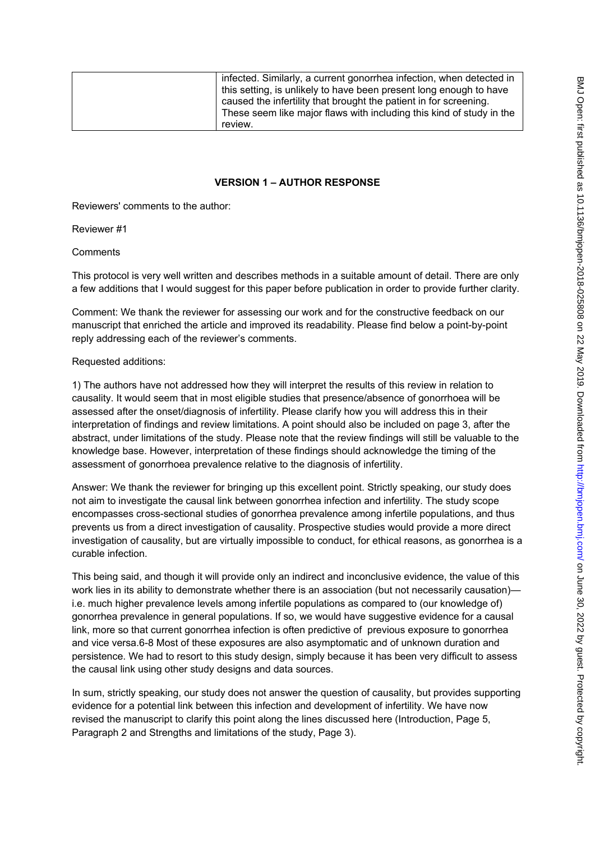| infected. Similarly, a current gonorrhea infection, when detected in |
|----------------------------------------------------------------------|
| this setting, is unlikely to have been present long enough to have   |
| caused the infertility that brought the patient in for screening.    |
| These seem like major flaws with including this kind of study in the |
| review.                                                              |

## **VERSION 1 – AUTHOR RESPONSE**

Reviewers' comments to the author:

### Reviewer #1

### **Comments**

This protocol is very well written and describes methods in a suitable amount of detail. There are only a few additions that I would suggest for this paper before publication in order to provide further clarity.

Comment: We thank the reviewer for assessing our work and for the constructive feedback on our manuscript that enriched the article and improved its readability. Please find below a point-by-point reply addressing each of the reviewer's comments.

### Requested additions:

1) The authors have not addressed how they will interpret the results of this review in relation to causality. It would seem that in most eligible studies that presence/absence of gonorrhoea will be assessed after the onset/diagnosis of infertility. Please clarify how you will address this in their interpretation of findings and review limitations. A point should also be included on page 3, after the abstract, under limitations of the study. Please note that the review findings will still be valuable to the knowledge base. However, interpretation of these findings should acknowledge the timing of the assessment of gonorrhoea prevalence relative to the diagnosis of infertility.

Answer: We thank the reviewer for bringing up this excellent point. Strictly speaking, our study does not aim to investigate the causal link between gonorrhea infection and infertility. The study scope encompasses cross-sectional studies of gonorrhea prevalence among infertile populations, and thus prevents us from a direct investigation of causality. Prospective studies would provide a more direct investigation of causality, but are virtually impossible to conduct, for ethical reasons, as gonorrhea is a curable infection.

This being said, and though it will provide only an indirect and inconclusive evidence, the value of this work lies in its ability to demonstrate whether there is an association (but not necessarily causation) i.e. much higher prevalence levels among infertile populations as compared to (our knowledge of) gonorrhea prevalence in general populations. If so, we would have suggestive evidence for a causal link, more so that current gonorrhea infection is often predictive of previous exposure to gonorrhea and vice versa.6-8 Most of these exposures are also asymptomatic and of unknown duration and persistence. We had to resort to this study design, simply because it has been very difficult to assess the causal link using other study designs and data sources.

In sum, strictly speaking, our study does not answer the question of causality, but provides supporting evidence for a potential link between this infection and development of infertility. We have now revised the manuscript to clarify this point along the lines discussed here (Introduction, Page 5, Paragraph 2 and Strengths and limitations of the study, Page 3).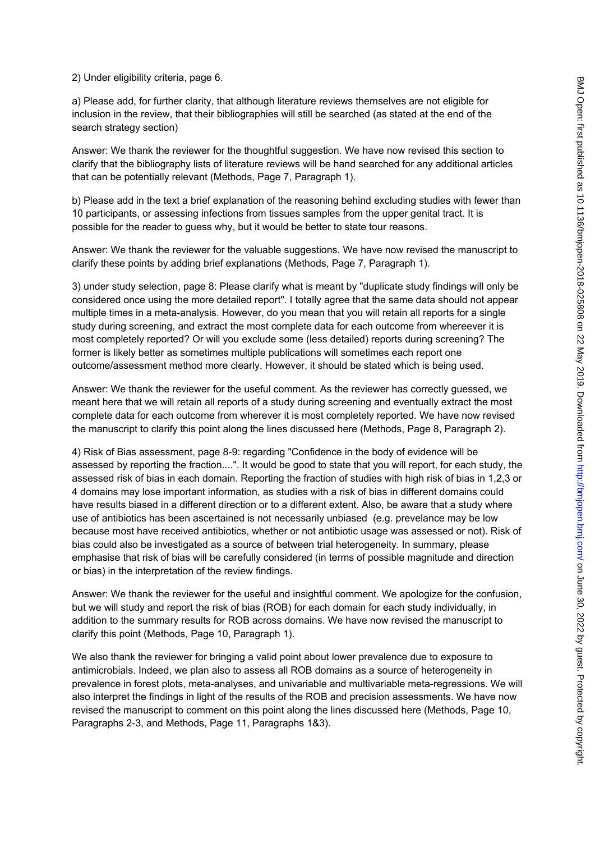2) Under eligibility criteria, page 6.

a) Please add, for further clarity, that although literature reviews themselves are not eligible for inclusion in the review, that their bibliographies will still be searched (as stated at the end of the search strategy section)

Answer: We thank the reviewer for the thoughtful suggestion. We have now revised this section to clarify that the bibliography lists of literature reviews will be hand searched for any additional articles that can be potentially relevant (Methods, Page 7, Paragraph 1).

b) Please add in the text a brief explanation of the reasoning behind excluding studies with fewer than 10 participants, or assessing infections from tissues samples from the upper genital tract. It is possible for the reader to guess why, but it would be better to state tour reasons.

Answer: We thank the reviewer for the valuable suggestions. We have now revised the manuscript to clarify these points by adding brief explanations (Methods, Page 7, Paragraph 1).

3) under study selection, page 8: Please clarify what is meant by "duplicate study findings will only be considered once using the more detailed report". I totally agree that the same data should not appear multiple times in a meta-analysis. However, do you mean that you will retain all reports for a single study during screening, and extract the most complete data for each outcome from whereever it is most completely reported? Or will you exclude some (less detailed) reports during screening? The former is likely better as sometimes multiple publications will sometimes each report one outcome/assessment method more clearly. However, it should be stated which is being used.

Answer: We thank the reviewer for the useful comment. As the reviewer has correctly guessed, we meant here that we will retain all reports of a study during screening and eventually extract the most complete data for each outcome from wherever it is most completely reported. We have now revised the manuscript to clarify this point along the lines discussed here (Methods, Page 8, Paragraph 2).

4) Risk of Bias assessment, page 8-9: regarding "Confidence in the body of evidence will be assessed by reporting the fraction....". It would be good to state that you will report, for each study, the assessed risk of bias in each domain. Reporting the fraction of studies with high risk of bias in 1,2,3 or 4 domains may lose important information, as studies with a risk of bias in different domains could have results biased in a different direction or to a different extent. Also, be aware that a study where use of antibiotics has been ascertained is not necessarily unbiased (e.g. prevelance may be low because most have received antibiotics, whether or not antibiotic usage was assessed or not). Risk of bias could also be investigated as a source of between trial heterogeneity. In summary, please emphasise that risk of bias will be carefully considered (in terms of possible magnitude and direction or bias) in the interpretation of the review findings.

Answer: We thank the reviewer for the useful and insightful comment. We apologize for the confusion, but we will study and report the risk of bias (ROB) for each domain for each study individually, in addition to the summary results for ROB across domains. We have now revised the manuscript to clarify this point (Methods, Page 10, Paragraph 1).

We also thank the reviewer for bringing a valid point about lower prevalence due to exposure to antimicrobials. Indeed, we plan also to assess all ROB domains as a source of heterogeneity in prevalence in forest plots, meta-analyses, and univariable and multivariable meta-regressions. We will also interpret the findings in light of the results of the ROB and precision assessments. We have now revised the manuscript to comment on this point along the lines discussed here (Methods, Page 10, Paragraphs 2-3, and Methods, Page 11, Paragraphs 1&3).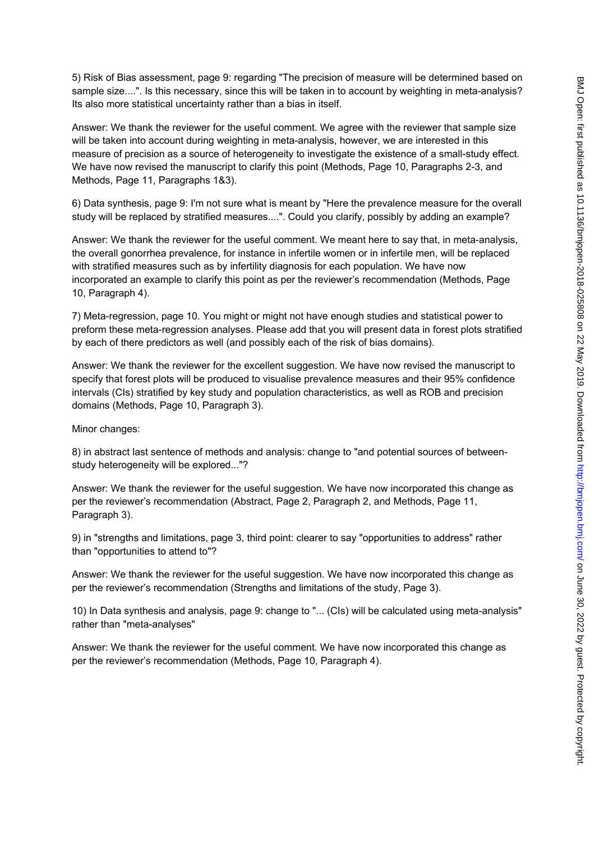5) Risk of Bias assessment, page 9: regarding "The precision of measure will be determined based on sample size....". Is this necessary, since this will be taken in to account by weighting in meta-analysis? Its also more statistical uncertainty rather than a bias in itself.

Answer: We thank the reviewer for the useful comment. We agree with the reviewer that sample size will be taken into account during weighting in meta-analysis, however, we are interested in this measure of precision as a source of heterogeneity to investigate the existence of a small-study effect. We have now revised the manuscript to clarify this point (Methods, Page 10, Paragraphs 2-3, and Methods, Page 11, Paragraphs 1&3).

6) Data synthesis, page 9: I'm not sure what is meant by "Here the prevalence measure for the overall study will be replaced by stratified measures....". Could you clarify, possibly by adding an example?

Answer: We thank the reviewer for the useful comment. We meant here to say that, in meta-analysis, the overall gonorrhea prevalence, for instance in infertile women or in infertile men, will be replaced with stratified measures such as by infertility diagnosis for each population. We have now incorporated an example to clarify this point as per the reviewer's recommendation (Methods, Page 10, Paragraph 4).

7) Meta-regression, page 10. You might or might not have enough studies and statistical power to preform these meta-regression analyses. Please add that you will present data in forest plots stratified by each of there predictors as well (and possibly each of the risk of bias domains).

Answer: We thank the reviewer for the excellent suggestion. We have now revised the manuscript to specify that forest plots will be produced to visualise prevalence measures and their 95% confidence intervals (CIs) stratified by key study and population characteristics, as well as ROB and precision domains (Methods, Page 10, Paragraph 3).

Minor changes:

8) in abstract last sentence of methods and analysis: change to "and potential sources of betweenstudy heterogeneity will be explored..."?

Answer: We thank the reviewer for the useful suggestion. We have now incorporated this change as per the reviewer's recommendation (Abstract, Page 2, Paragraph 2, and Methods, Page 11, Paragraph 3).

9) in "strengths and limitations, page 3, third point: clearer to say "opportunities to address" rather than "opportunities to attend to"?

Answer: We thank the reviewer for the useful suggestion. We have now incorporated this change as per the reviewer's recommendation (Strengths and limitations of the study, Page 3).

10) In Data synthesis and analysis, page 9: change to "... (CIs) will be calculated using meta-analysis" rather than "meta-analyses"

Answer: We thank the reviewer for the useful comment. We have now incorporated this change as per the reviewer's recommendation (Methods, Page 10, Paragraph 4).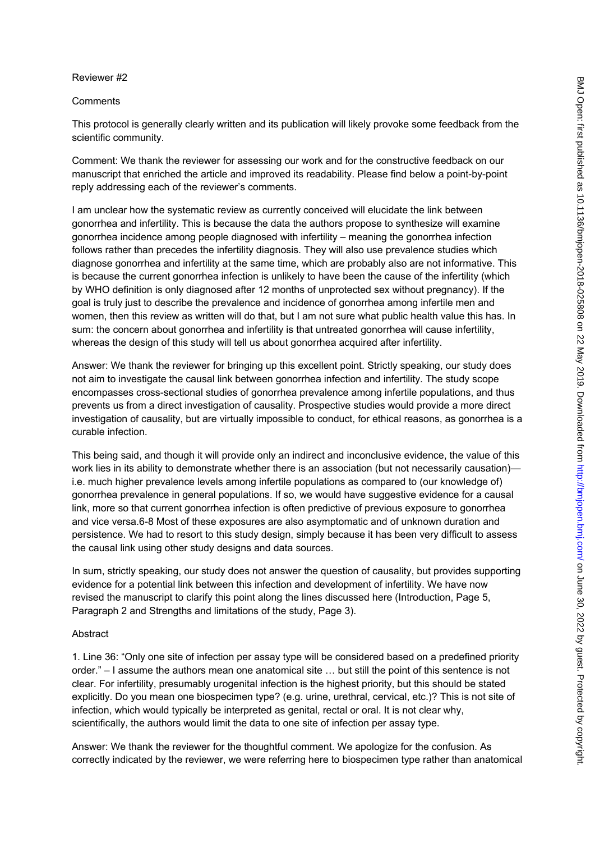#### Reviewer #2

#### **Comments**

This protocol is generally clearly written and its publication will likely provoke some feedback from the scientific community.

Comment: We thank the reviewer for assessing our work and for the constructive feedback on our manuscript that enriched the article and improved its readability. Please find below a point-by-point reply addressing each of the reviewer's comments.

I am unclear how the systematic review as currently conceived will elucidate the link between gonorrhea and infertility. This is because the data the authors propose to synthesize will examine gonorrhea incidence among people diagnosed with infertility – meaning the gonorrhea infection follows rather than precedes the infertility diagnosis. They will also use prevalence studies which diagnose gonorrhea and infertility at the same time, which are probably also are not informative. This is because the current gonorrhea infection is unlikely to have been the cause of the infertility (which by WHO definition is only diagnosed after 12 months of unprotected sex without pregnancy). If the goal is truly just to describe the prevalence and incidence of gonorrhea among infertile men and women, then this review as written will do that, but I am not sure what public health value this has. In sum: the concern about gonorrhea and infertility is that untreated gonorrhea will cause infertility, whereas the design of this study will tell us about gonorrhea acquired after infertility.

Answer: We thank the reviewer for bringing up this excellent point. Strictly speaking, our study does not aim to investigate the causal link between gonorrhea infection and infertility. The study scope encompasses cross-sectional studies of gonorrhea prevalence among infertile populations, and thus prevents us from a direct investigation of causality. Prospective studies would provide a more direct investigation of causality, but are virtually impossible to conduct, for ethical reasons, as gonorrhea is a curable infection.

This being said, and though it will provide only an indirect and inconclusive evidence, the value of this work lies in its ability to demonstrate whether there is an association (but not necessarily causation) i.e. much higher prevalence levels among infertile populations as compared to (our knowledge of) gonorrhea prevalence in general populations. If so, we would have suggestive evidence for a causal link, more so that current gonorrhea infection is often predictive of previous exposure to gonorrhea and vice versa.6-8 Most of these exposures are also asymptomatic and of unknown duration and persistence. We had to resort to this study design, simply because it has been very difficult to assess the causal link using other study designs and data sources.

In sum, strictly speaking, our study does not answer the question of causality, but provides supporting evidence for a potential link between this infection and development of infertility. We have now revised the manuscript to clarify this point along the lines discussed here (Introduction, Page 5, Paragraph 2 and Strengths and limitations of the study, Page 3).

#### Abstract

1. Line 36: "Only one site of infection per assay type will be considered based on a predefined priority order." – I assume the authors mean one anatomical site … but still the point of this sentence is not clear. For infertility, presumably urogenital infection is the highest priority, but this should be stated explicitly. Do you mean one biospecimen type? (e.g. urine, urethral, cervical, etc.)? This is not site of infection, which would typically be interpreted as genital, rectal or oral. It is not clear why, scientifically, the authors would limit the data to one site of infection per assay type.

Answer: We thank the reviewer for the thoughtful comment. We apologize for the confusion. As correctly indicated by the reviewer, we were referring here to biospecimen type rather than anatomical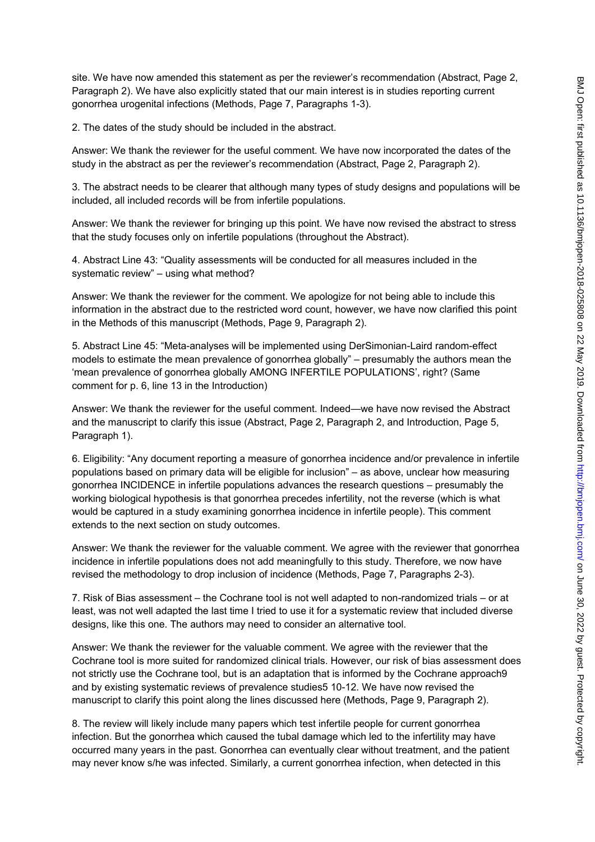site. We have now amended this statement as per the reviewer's recommendation (Abstract, Page 2, Paragraph 2). We have also explicitly stated that our main interest is in studies reporting current gonorrhea urogenital infections (Methods, Page 7, Paragraphs 1-3).

2. The dates of the study should be included in the abstract.

Answer: We thank the reviewer for the useful comment. We have now incorporated the dates of the study in the abstract as per the reviewer's recommendation (Abstract, Page 2, Paragraph 2).

3. The abstract needs to be clearer that although many types of study designs and populations will be included, all included records will be from infertile populations.

Answer: We thank the reviewer for bringing up this point. We have now revised the abstract to stress that the study focuses only on infertile populations (throughout the Abstract).

4. Abstract Line 43: "Quality assessments will be conducted for all measures included in the systematic review" – using what method?

Answer: We thank the reviewer for the comment. We apologize for not being able to include this information in the abstract due to the restricted word count, however, we have now clarified this point in the Methods of this manuscript (Methods, Page 9, Paragraph 2).

5. Abstract Line 45: "Meta-analyses will be implemented using DerSimonian-Laird random-effect models to estimate the mean prevalence of gonorrhea globally" – presumably the authors mean the 'mean prevalence of gonorrhea globally AMONG INFERTILE POPULATIONS', right? (Same comment for p. 6, line 13 in the Introduction)

Answer: We thank the reviewer for the useful comment. Indeed—we have now revised the Abstract and the manuscript to clarify this issue (Abstract, Page 2, Paragraph 2, and Introduction, Page 5, Paragraph 1).

6. Eligibility: "Any document reporting a measure of gonorrhea incidence and/or prevalence in infertile populations based on primary data will be eligible for inclusion" – as above, unclear how measuring gonorrhea INCIDENCE in infertile populations advances the research questions – presumably the working biological hypothesis is that gonorrhea precedes infertility, not the reverse (which is what would be captured in a study examining gonorrhea incidence in infertile people). This comment extends to the next section on study outcomes.

Answer: We thank the reviewer for the valuable comment. We agree with the reviewer that gonorrhea incidence in infertile populations does not add meaningfully to this study. Therefore, we now have revised the methodology to drop inclusion of incidence (Methods, Page 7, Paragraphs 2-3).

7. Risk of Bias assessment – the Cochrane tool is not well adapted to non-randomized trials – or at least, was not well adapted the last time I tried to use it for a systematic review that included diverse designs, like this one. The authors may need to consider an alternative tool.

Answer: We thank the reviewer for the valuable comment. We agree with the reviewer that the Cochrane tool is more suited for randomized clinical trials. However, our risk of bias assessment does not strictly use the Cochrane tool, but is an adaptation that is informed by the Cochrane approach9 and by existing systematic reviews of prevalence studies5 10-12. We have now revised the manuscript to clarify this point along the lines discussed here (Methods, Page 9, Paragraph 2).

8. The review will likely include many papers which test infertile people for current gonorrhea infection. But the gonorrhea which caused the tubal damage which led to the infertility may have occurred many years in the past. Gonorrhea can eventually clear without treatment, and the patient may never know s/he was infected. Similarly, a current gonorrhea infection, when detected in this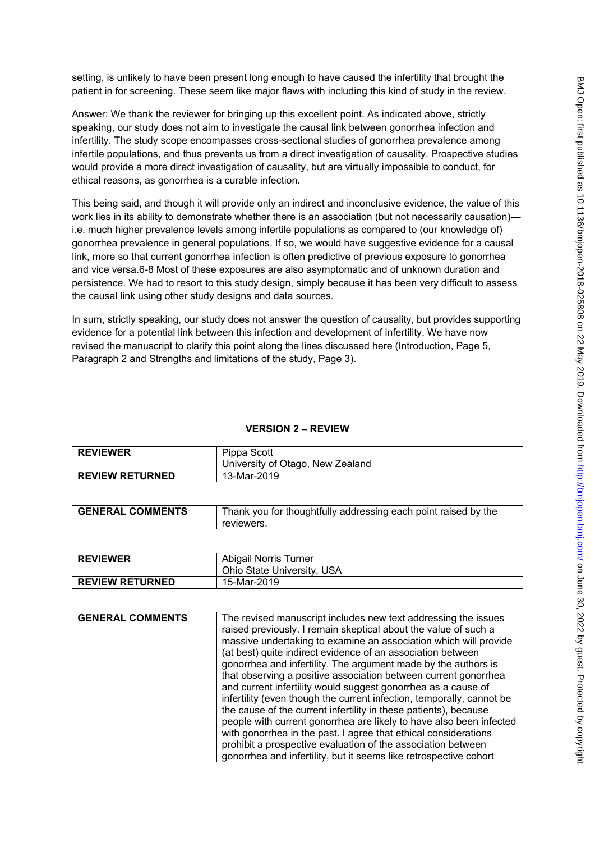setting, is unlikely to have been present long enough to have caused the infertility that brought the patient in for screening. These seem like major flaws with including this kind of study in the review.

Answer: We thank the reviewer for bringing up this excellent point. As indicated above, strictly speaking, our study does not aim to investigate the causal link between gonorrhea infection and infertility. The study scope encompasses cross-sectional studies of gonorrhea prevalence among infertile populations, and thus prevents us from a direct investigation of causality. Prospective studies would provide a more direct investigation of causality, but are virtually impossible to conduct, for ethical reasons, as gonorrhea is a curable infection.

This being said, and though it will provide only an indirect and inconclusive evidence, the value of this work lies in its ability to demonstrate whether there is an association (but not necessarily causation) i.e. much higher prevalence levels among infertile populations as compared to (our knowledge of) gonorrhea prevalence in general populations. If so, we would have suggestive evidence for a causal link, more so that current gonorrhea infection is often predictive of previous exposure to gonorrhea and vice versa.6-8 Most of these exposures are also asymptomatic and of unknown duration and persistence. We had to resort to this study design, simply because it has been very difficult to assess the causal link using other study designs and data sources.

In sum, strictly speaking, our study does not answer the question of causality, but provides supporting evidence for a potential link between this infection and development of infertility. We have now revised the manuscript to clarify this point along the lines discussed here (Introduction, Page 5, Paragraph 2 and Strengths and limitations of the study, Page 3).

# **VERSION 2 – REVIEW**

| <b>REVIEWER</b>        | Pippa Scott<br>University of Otago, New Zealand |
|------------------------|-------------------------------------------------|
| <b>REVIEW RETURNED</b> | 13-Mar-2019                                     |

| <b>GENERAL COMMENTS</b> | Thank you for thoughtfully addressing each point raised by the |
|-------------------------|----------------------------------------------------------------|
|                         | reviewers.                                                     |

| <b>REVIEWER</b>        | Abigail Norris Turner<br>Ohio State University, USA |
|------------------------|-----------------------------------------------------|
| <b>REVIEW RETURNED</b> | 15-Mar-2019                                         |

| <b>GENERAL COMMENTS</b> | The revised manuscript includes new text addressing the issues        |
|-------------------------|-----------------------------------------------------------------------|
|                         |                                                                       |
|                         | raised previously. I remain skeptical about the value of such a       |
|                         | massive undertaking to examine an association which will provide      |
|                         | (at best) quite indirect evidence of an association between           |
|                         | gonorrhea and infertility. The argument made by the authors is        |
|                         | that observing a positive association between current gonorrhea       |
|                         | and current infertility would suggest gonorrhea as a cause of         |
|                         | infertility (even though the current infection, temporally, cannot be |
|                         | the cause of the current infertility in these patients), because      |
|                         | people with current gonorrhea are likely to have also been infected   |
|                         | with gonorrhea in the past. I agree that ethical considerations       |
|                         | prohibit a prospective evaluation of the association between          |
|                         | gonorrhea and infertility, but it seems like retrospective cohort     |